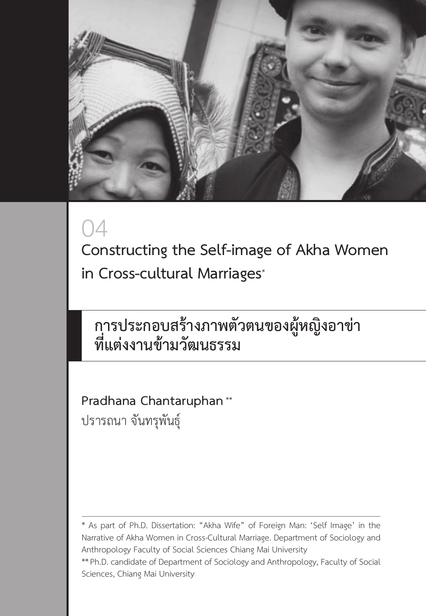

# 04

**Constructing the Self-image of Akha Women in Cross-cultural Marriages**\*

## **การประกอบสร้างภาพตัวตนของผู้หญิงอาข่า ที่แต่งงานข้ามวัฒนธรรม**

**Pradhana Chantaruphan** \*\* ปรารถนา จันทรุพันธุ์

\*\*Ph.D. candidate of Department of Sociology and Anthropology, Faculty of Social Sciences, Chiang Mai University

<sup>\*</sup> As part of Ph.D. Dissertation: "Akha Wife" of Foreign Man: 'Self Image' in the Narrative of Akha Women in Cross-Cultural Marriage. Department of Sociology and Anthropology Faculty of Social Sciences Chiang Mai University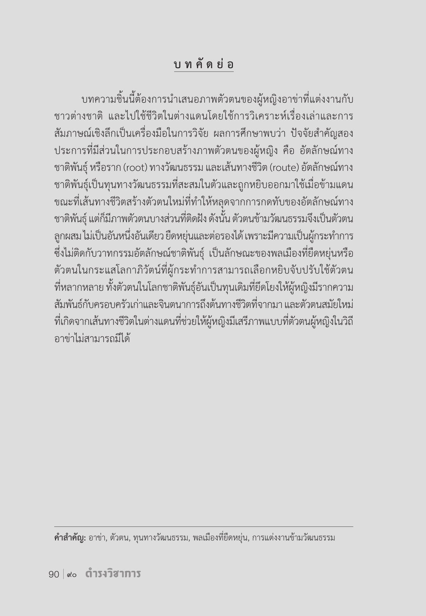## **บ ท คั ด ย่ อ**

บทความชิ้นนี้ต้องการนำ เสนอภาพตัวตนของผู้หญิงอาข่าที่แต่งงานกับ ชาวต่างชาติ และไปใช้ชีวิตในต่างแดนโดยใช้การวิเคราะห์เรื่องเล่าและการ สัมภาษณ์เชิงลึกเป็นเครื่องมือในการวิจัย ผลการศึกษาพบว่า ปัจจัยสำคัญสอง ประการที่มีส่วนในการประกอบสร้างภาพตัวตนของผู้หญิง คือ อัตลักษณ์ทาง ชาติพันธุ์ หรือราก (root) ทางวัฒนธรรม และเส้นทางชีวิต (route) อัตลักษณ์ทาง ชาติพันธุ์เป็นทุนทางวัฒนธรรมที่สะสมในตัวและถูกหยิบออกมาใช้เมื่อข้ามแดน ขณะที่เส้นทางชีวิตสร้างตัวตนใหม่ที่ทำ ให้หลุดจากการกดทับของอัตลักษณ์ทาง ชาติพันธุ์ แต่ก็มีภาพตัวตนบางส่วนที่ติดฝัง ดังนั้น ตัวตนข้ามวัฒนธรรมจึงเป็นตัวตน ลูกผสม ไม่เป็นอันหนึ่งอันเดียว ยืดหยุ่นและต่อรองได้ เพราะมีความเป็นผู้กระทำการ ซึ่งไม่ติดกับวาทกรรมอัตลักษณ์ชาติพันธุ์ เป็นลักษณะของพลเมืองที่ยืดหยุ่นหรือ ตัวตนในกระแสโลกาภิวัตน์ที่ผู้กระทำ การสามารถเลือกหยิบจับปรับใช้ตัวตน ที่หลากหลาย ทั้งตัวตนในโลกชาติพันธุ์อันเป็นทุนเดิมที่ยึดโยงให้ผู้หญิงมีรากความ สัมพันธ์กับครอบครัวเก่าและจินตนาการถึงต้นทางชีวิตที่จากมา และตัวตนสมัยใหม่ ที่เกิดจากเส้นทางชีวิตในต่างแดนที่ช่วยให้ผู้หญิงมีเสรีภาพแบบที่ตัวตนผู้หญิงในวิถี อาข่าไม่สามารถมีได้

**ค�ำส�ำคัญ:** อาข่า, ตัวตน, ทุนทางวัฒนธรรม, พลเมืองที่ยืดหยุ่น, การแต่งงานข้ามวัฒนธรรม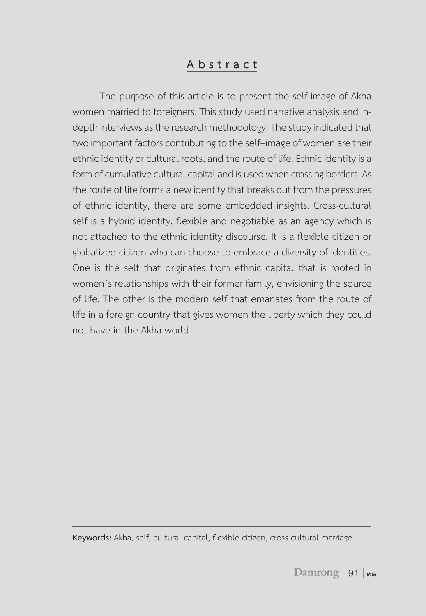#### **A b s t r a c t**

The purpose of this article is to present the self-image of Akha women married to foreigners. This study used narrative analysis and indepth interviews as the research methodology. The study indicated that two important factors contributing to the self–image of women are their ethnic identity or cultural roots, and the route of life. Ethnic identity is a form of cumulative cultural capital and is used when crossing borders. As the route of life forms a new identity that breaks out from the pressures of ethnic identity, there are some embedded insights. Cross-cultural self is a hybrid identity, flexible and negotiable as an agency which is not attached to the ethnic identity discourse. It is a flexible citizen or globalized citizen who can choose to embrace a diversity of identities. One is the self that originates from ethnic capital that is rooted in women's relationships with their former family, envisioning the source of life. The other is the modern self that emanates from the route of life in a foreign country that gives women the liberty which they could not have in the Akha world.

**Keywords:** Akha, self, cultural capital, flexible citizen, cross cultural marriage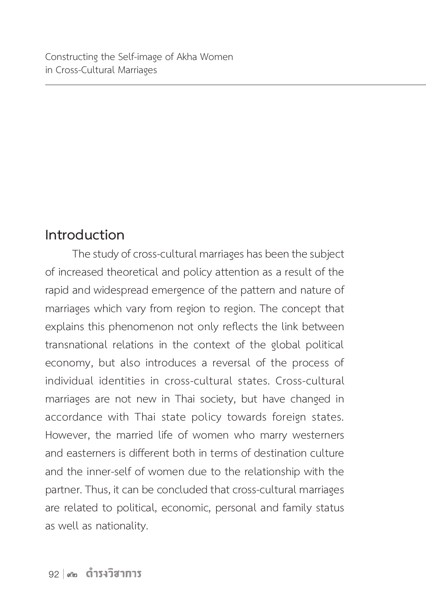## **Introduction**

The study of cross-cultural marriages has been the subject of increased theoretical and policy attention as a result of the rapid and widespread emergence of the pattern and nature of marriages which vary from region to region. The concept that explains this phenomenon not only reflects the link between transnational relations in the context of the global political economy, but also introduces a reversal of the process of individual identities in cross-cultural states. Cross-cultural marriages are not new in Thai society, but have changed in accordance with Thai state policy towards foreign states. However, the married life of women who marry westerners and easterners is different both in terms of destination culture and the inner-self of women due to the relationship with the partner. Thus, it can be concluded that cross-cultural marriages are related to political, economic, personal and family status as well as nationality.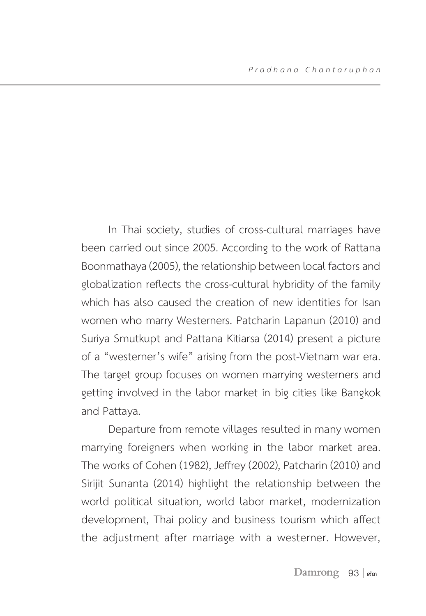In Thai society, studies of cross-cultural marriages have been carried out since 2005. According to the work of Rattana Boonmathaya (2005), the relationship between local factors and globalization reflects the cross-cultural hybridity of the family which has also caused the creation of new identities for Isan women who marry Westerners. Patcharin Lapanun (2010) and Suriya Smutkupt and Pattana Kitiarsa (2014) present a picture of a "westerner's wife" arising from the post-Vietnam war era. The target group focuses on women marrying westerners and getting involved in the labor market in big cities like Bangkok and Pattaya.

Departure from remote villages resulted in many women marrying foreigners when working in the labor market area. The works of Cohen (1982), Jeffrey (2002), Patcharin (2010) and Sirijit Sunanta (2014) highlight the relationship between the world political situation, world labor market, modernization development, Thai policy and business tourism which affect the adjustment after marriage with a westerner. However,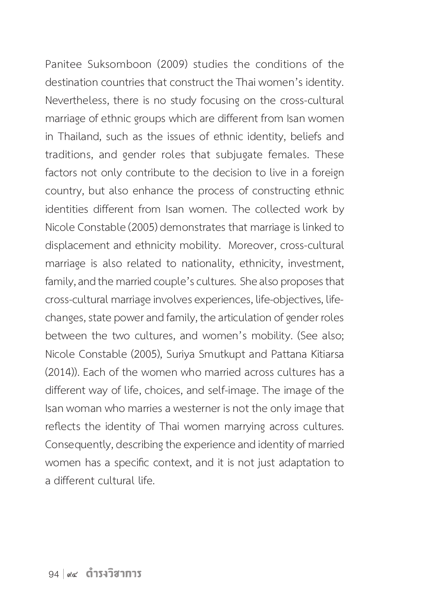Panitee Suksomboon (2009) studies the conditions of the destination countries that construct the Thai women's identity. Nevertheless, there is no study focusing on the cross-cultural marriage of ethnic groups which are different from Isan women in Thailand, such as the issues of ethnic identity, beliefs and traditions, and gender roles that subjugate females. These factors not only contribute to the decision to live in a foreign country, but also enhance the process of constructing ethnic identities different from Isan women. The collected work by Nicole Constable (2005) demonstrates that marriage is linked to displacement and ethnicity mobility. Moreover, cross-cultural marriage is also related to nationality, ethnicity, investment, family, and the married couple's cultures.  She also proposes that cross-cultural marriage involves experiences, life-objectives, lifechanges, state power and family, the articulation of gender roles between the two cultures, and women's mobility. (See also; Nicole Constable (2005), Suriya Smutkupt and Pattana Kitiarsa (2014)). Each of the women who married across cultures has a different way of life, choices, and self-image. The image of the Isan woman who marries a westerner is not the only image that reflects the identity of Thai women marrying across cultures. Consequently, describing the experience and identity of married women has a specific context, and it is not just adaptation to a different cultural life.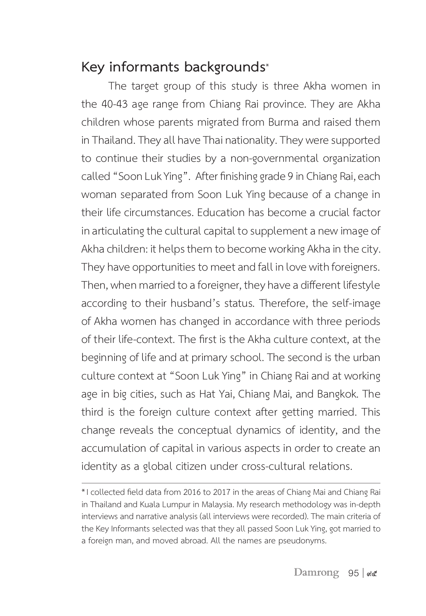## **Key informants backgrounds**\*

The target group of this study is three Akha women in the 40-43 age range from Chiang Rai province. They are Akha children whose parents migrated from Burma and raised them in Thailand. They all have Thai nationality. They were supported to continue their studies by a non-governmental organization called "Soon Luk Ying". After finishing grade 9 in Chiang Rai, each woman separated from Soon Luk Ying because of a change in their life circumstances. Education has become a crucial factor in articulating the cultural capital to supplement a new image of Akha children: it helps them to become working Akha in the city. They have opportunities to meet and fall in love with foreigners. Then, when married to a foreigner, they have a different lifestyle according to their husband's status. Therefore, the self-image of Akha women has changed in accordance with three periods of their life-context. The first is the Akha culture context, at the beginning of life and at primary school. The second is the urban culture context at "Soon Luk Ying" in Chiang Rai and at working age in big cities, such as Hat Yai, Chiang Mai, and Bangkok. The third is the foreign culture context after getting married. This change reveals the conceptual dynamics of identity, and the accumulation of capital in various aspects in order to create an identity as a global citizen under cross-cultural relations.

<sup>\*</sup>I collected field data from 2016 to 2017 in the areas of Chiang Mai and Chiang Rai in Thailand and Kuala Lumpur in Malaysia. My research methodology was in-depth interviews and narrative analysis (all interviews were recorded). The main criteria of the Key Informants selected was that they all passed Soon Luk Ying, got married to a foreign man, and moved abroad. All the names are pseudonyms.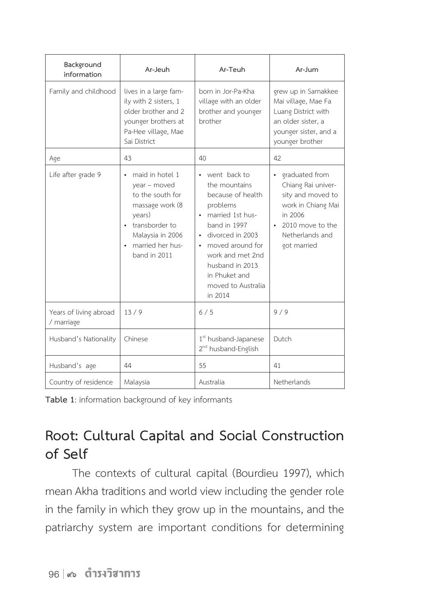| Background<br>information            | Ar-Jeuh                                                                                                                                                                 | Ar-Teuh                                                                                                                                                                                                                                                         | Ar-Jum                                                                                                                                           |
|--------------------------------------|-------------------------------------------------------------------------------------------------------------------------------------------------------------------------|-----------------------------------------------------------------------------------------------------------------------------------------------------------------------------------------------------------------------------------------------------------------|--------------------------------------------------------------------------------------------------------------------------------------------------|
| Family and childhood                 | lives in a large fam-<br>ily with 2 sisters, 1<br>older brother and 2<br>younger brothers at<br>Pa-Hee village, Mae<br>Sai District                                     | born in Jor-Pa-Kha<br>village with an older<br>brother and younger<br>brother                                                                                                                                                                                   | grew up in Samakkee<br>Mai village, Mae Fa<br>Luang District with<br>an older sister, a<br>younger sister, and a<br>younger brother              |
| Age                                  | 43                                                                                                                                                                      | 40                                                                                                                                                                                                                                                              | 42                                                                                                                                               |
| Life after grade 9                   | maid in hotel 1<br>year - moved<br>to the south for<br>massage work (8<br>years)<br>transborder to<br>$\bullet$<br>Malaysia in 2006<br>married her hus-<br>band in 2011 | went back to<br>$\bullet$<br>the mountains<br>because of health<br>problems<br>married 1st hus-<br>band in 1997<br>· divorced in 2003<br>moved around for<br>$\bullet$<br>work and met 2nd<br>husband in 2013<br>in Phuket and<br>moved to Australia<br>in 2014 | graduated from<br>Chiang Rai univer-<br>sity and moved to<br>work in Chiang Mai<br>in 2006<br>2010 move to the<br>Netherlands and<br>got married |
| Years of living abroad<br>/ marriage | 13/9                                                                                                                                                                    | 6/5                                                                                                                                                                                                                                                             | 9/9                                                                                                                                              |
| Husband's Nationality                | Chinese                                                                                                                                                                 | 1 <sup>st</sup> husband-Japanese<br>2 <sup>nd</sup> husband-English                                                                                                                                                                                             | Dutch                                                                                                                                            |
| Husband's age                        | 44                                                                                                                                                                      | 55                                                                                                                                                                                                                                                              | 41                                                                                                                                               |
| Country of residence                 | Malaysia                                                                                                                                                                | Australia                                                                                                                                                                                                                                                       | Netherlands                                                                                                                                      |

**Table 1**: information background of key informants

## **Root: Cultural Capital and Social Construction of Self**

The contexts of cultural capital (Bourdieu 1997), which mean Akha traditions and world view including the gender role in the family in which they grow up in the mountains, and the patriarchy system are important conditions for determining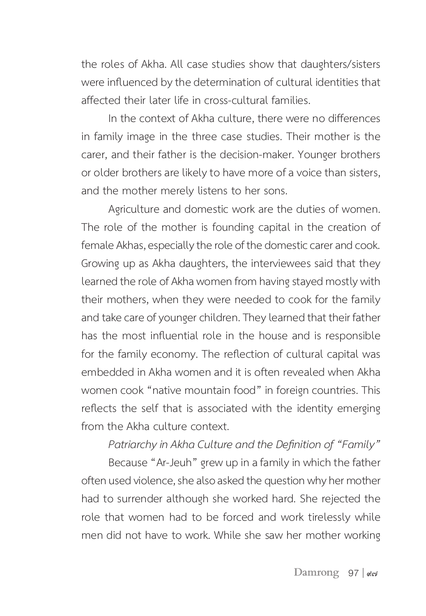the roles of Akha. All case studies show that daughters/sisters were influenced by the determination of cultural identities that affected their later life in cross-cultural families.

In the context of Akha culture, there were no differences in family image in the three case studies. Their mother is the carer, and their father is the decision-maker. Younger brothers or older brothers are likely to have more of a voice than sisters, and the mother merely listens to her sons.

Agriculture and domestic work are the duties of women. The role of the mother is founding capital in the creation of female Akhas, especially the role of the domestic carer and cook. Growing up as Akha daughters, the interviewees said that they learned the role of Akha women from having stayed mostly with their mothers, when they were needed to cook for the family and take care of younger children. They learned that their father has the most influential role in the house and is responsible for the family economy. The reflection of cultural capital was embedded in Akha women and it is often revealed when Akha women cook "native mountain food" in foreign countries. This reflects the self that is associated with the identity emerging from the Akha culture context.

#### *Patriarchy in Akha Culture and the Definition of "Family"*

Because "Ar-Jeuh" grew up in a family in which the father often used violence, she also asked the question why her mother had to surrender although she worked hard. She rejected the role that women had to be forced and work tirelessly while men did not have to work. While she saw her mother working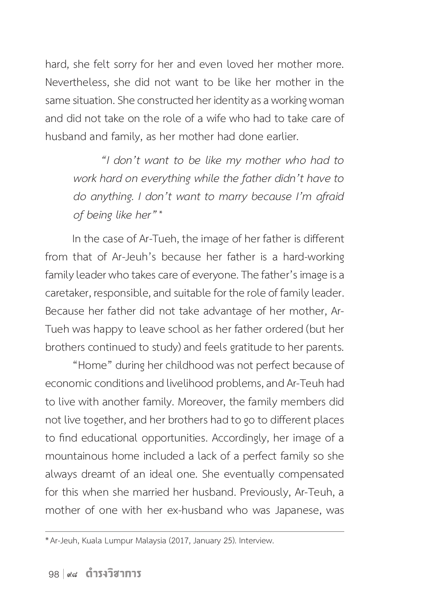hard, she felt sorry for her and even loved her mother more. Nevertheless, she did not want to be like her mother in the same situation. She constructed her identity as a working woman and did not take on the role of a wife who had to take care of husband and family, as her mother had done earlier.

*"I don't want to be like my mother who had to work hard on everything while the father didn't have to do anything. I don't want to marry because I'm afraid of being like her"*\*

In the case of Ar-Tueh, the image of her father is different from that of Ar-Jeuh's because her father is a hard-working family leader who takes care of everyone. The father's image is a caretaker, responsible, and suitable for the role of family leader. Because her father did not take advantage of her mother, Ar-Tueh was happy to leave school as her father ordered (but her brothers continued to study) and feels gratitude to her parents.

"Home" during her childhood was not perfect because of economic conditions and livelihood problems, and Ar-Teuh had to live with another family. Moreover, the family members did not live together, and her brothers had to go to different places to find educational opportunities. Accordingly, her image of a mountainous home included a lack of a perfect family so she always dreamt of an ideal one. She eventually compensated for this when she married her husband. Previously, Ar-Teuh, a mother of one with her ex-husband who was Japanese, was

<sup>\*</sup> Ar-Jeuh, Kuala Lumpur Malaysia (2017, January 25). Interview.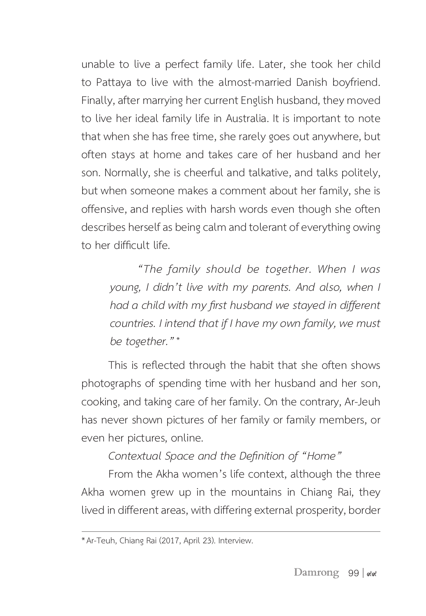unable to live a perfect family life. Later, she took her child to Pattaya to live with the almost-married Danish boyfriend. Finally, after marrying her current English husband, they moved to live her ideal family life in Australia. It is important to note that when she has free time, she rarely goes out anywhere, but often stays at home and takes care of her husband and her son. Normally, she is cheerful and talkative, and talks politely, but when someone makes a comment about her family, she is offensive, and replies with harsh words even though she often describes herself as being calm and tolerant of everything owing to her difficult life.

*"The family should be together. When I was young, I didn't live with my parents. And also, when I had a child with my first husband we stayed in different countries. I intend that if I have my own family, we must be together."*\*

This is reflected through the habit that she often shows photographs of spending time with her husband and her son, cooking, and taking care of her family. On the contrary, Ar-Jeuh has never shown pictures of her family or family members, or even her pictures, online.

*Contextual Space and the Definition of "Home"*

From the Akha women's life context, although the three Akha women grew up in the mountains in Chiang Rai, they lived in different areas, with differing external prosperity, border

<sup>\*</sup> Ar-Teuh, Chiang Rai (2017, April 23). Interview.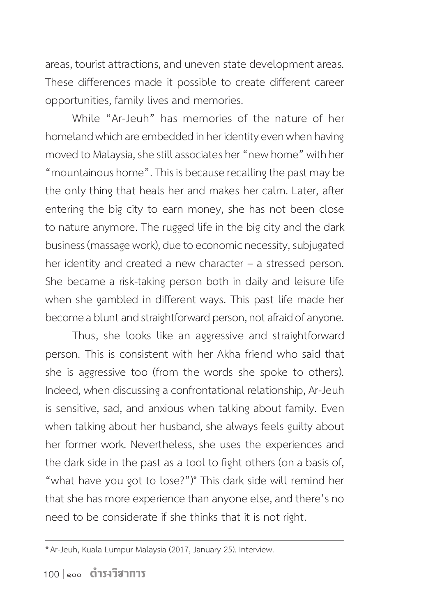areas, tourist attractions, and uneven state development areas. These differences made it possible to create different career opportunities, family lives and memories.

While "Ar-Jeuh" has memories of the nature of her homeland which are embedded in her identity even when having moved to Malaysia, she still associates her "new home" with her "mountainous home". This is because recalling the past may be the only thing that heals her and makes her calm. Later, after entering the big city to earn money, she has not been close to nature anymore. The rugged life in the big city and the dark business (massage work), due to economic necessity, subjugated her identity and created a new character - a stressed person. She became a risk-taking person both in daily and leisure life when she gambled in different ways. This past life made her become a blunt and straightforward person, not afraid of anyone.

Thus, she looks like an aggressive and straightforward person. This is consistent with her Akha friend who said that she is aggressive too (from the words she spoke to others). Indeed, when discussing a confrontational relationship, Ar-Jeuh is sensitive, sad, and anxious when talking about family. Even when talking about her husband, she always feels guilty about her former work. Nevertheless, she uses the experiences and the dark side in the past as a tool to fight others (on a basis of, "what have you got to lose?")\* This dark side will remind her that she has more experience than anyone else, and there's no need to be considerate if she thinks that it is not right.

<sup>\*</sup> Ar-Jeuh, Kuala Lumpur Malaysia (2017, January 25). Interview.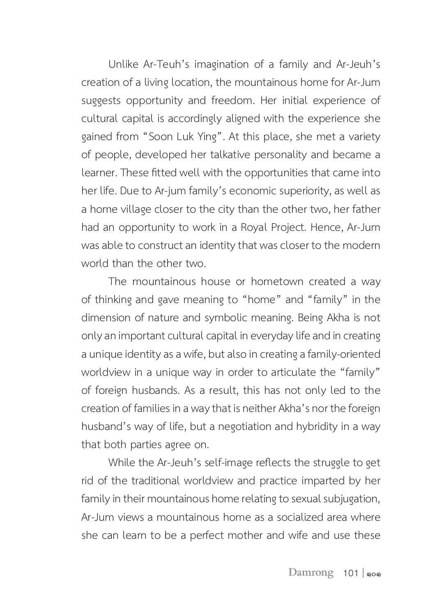Unlike Ar-Teuh's imagination of a family and Ar-Jeuh's creation of a living location, the mountainous home for Ar-Jum suggests opportunity and freedom. Her initial experience of cultural capital is accordingly aligned with the experience she gained from "Soon Luk Ying". At this place, she met a variety of people, developed her talkative personality and became a learner. These fitted well with the opportunities that came into her life. Due to Ar-jum family's economic superiority, as well as a home village closer to the city than the other two, her father had an opportunity to work in a Royal Project. Hence, Ar-Jum was able to construct an identity that was closer to the modern world than the other two.

The mountainous house or hometown created a way of thinking and gave meaning to "home" and "family" in the dimension of nature and symbolic meaning. Being Akha is not only an important cultural capital in everyday life and in creating a unique identity as a wife, but also in creating a family-oriented worldview in a unique way in order to articulate the "family" of foreign husbands. As a result, this has not only led to the creation of families in a way that is neither Akha's nor the foreign husband's way of life, but a negotiation and hybridity in a way that both parties agree on.

While the Ar-Jeuh's self-image reflects the struggle to get rid of the traditional worldview and practice imparted by her family in their mountainous home relating to sexual subjugation, Ar-Jum views a mountainous home as a socialized area where she can learn to be a perfect mother and wife and use these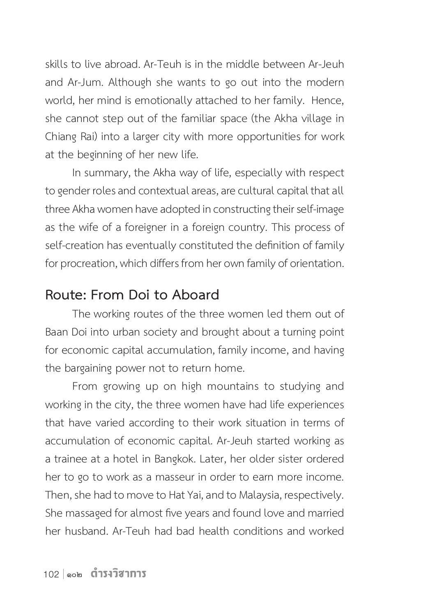skills to live abroad. Ar-Teuh is in the middle between Ar-Jeuh and Ar-Jum. Although she wants to go out into the modern world, her mind is emotionally attached to her family. Hence, she cannot step out of the familiar space (the Akha village in Chiang Rai) into a larger city with more opportunities for work at the beginning of her new life.

In summary, the Akha way of life, especially with respect to gender roles and contextual areas, are cultural capital that all three Akha women have adopted in constructing their self-image as the wife of a foreigner in a foreign country. This process of self-creation has eventually constituted the definition of family for procreation, which differs from her own family of orientation.

#### **Route: From Doi to Aboard**

The working routes of the three women led them out of Baan Doi into urban society and brought about a turning point for economic capital accumulation, family income, and having the bargaining power not to return home.

From growing up on high mountains to studying and working in the city, the three women have had life experiences that have varied according to their work situation in terms of accumulation of economic capital. Ar-Jeuh started working as a trainee at a hotel in Bangkok. Later, her older sister ordered her to go to work as a masseur in order to earn more income. Then, she had to move to Hat Yai, and to Malaysia, respectively. She massaged for almost five years and found love and married her husband. Ar-Teuh had bad health conditions and worked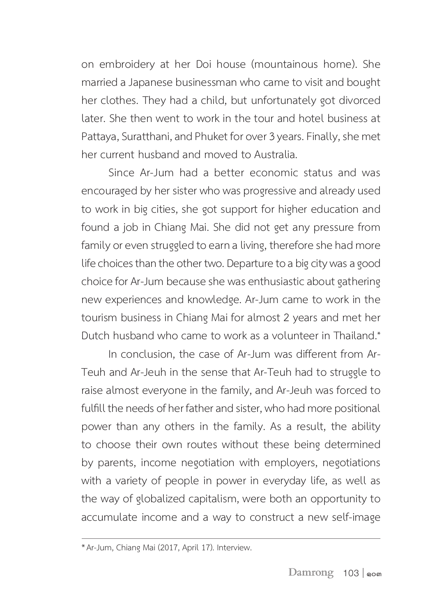on embroidery at her Doi house (mountainous home). She married a Japanese businessman who came to visit and bought her clothes. They had a child, but unfortunately got divorced later. She then went to work in the tour and hotel business at Pattaya, Suratthani, and Phuket for over 3 years. Finally, she met her current husband and moved to Australia.

Since Ar-Jum had a better economic status and was encouraged by her sister who was progressive and already used to work in big cities, she got support for higher education and found a job in Chiang Mai. She did not get any pressure from family or even struggled to earn a living, therefore she had more life choices than the other two. Departure to a big city was a good choice for Ar-Jum because she was enthusiastic about gathering new experiences and knowledge. Ar-Jum came to work in the tourism business in Chiang Mai for almost 2 years and met her Dutch husband who came to work as a volunteer in Thailand.\*

In conclusion, the case of Ar-Jum was different from Ar-Teuh and Ar-Jeuh in the sense that Ar-Teuh had to struggle to raise almost everyone in the family, and Ar-Jeuh was forced to fulfill the needs of her father and sister, who had more positional power than any others in the family. As a result, the ability to choose their own routes without these being determined by parents, income negotiation with employers, negotiations with a variety of people in power in everyday life, as well as the way of globalized capitalism, were both an opportunity to accumulate income and a way to construct a new self-image

<sup>\*</sup> Ar-Jum, Chiang Mai (2017, April 17). Interview.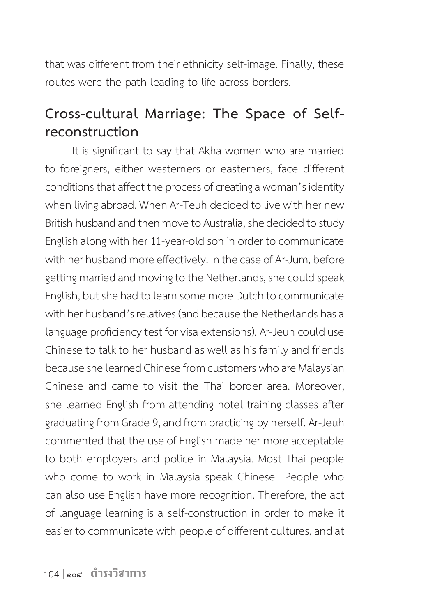that was different from their ethnicity self-image. Finally, these routes were the path leading to life across borders.

## **Cross-cultural Marriage: The Space of Selfreconstruction**

It is significant to say that Akha women who are married to foreigners, either westerners or easterners, face different conditions that affect the process of creating a woman's identity when living abroad. When Ar-Teuh decided to live with her new British husband and then move to Australia, she decided to study English along with her 11-year-old son in order to communicate with her husband more effectively. In the case of Ar-Jum, before getting married and moving to the Netherlands, she could speak English, but she had to learn some more Dutch to communicate with her husband's relatives (and because the Netherlands has a language proficiency test for visa extensions). Ar-Jeuh could use Chinese to talk to her husband as well as his family and friends because she learned Chinese from customers who are Malaysian Chinese and came to visit the Thai border area. Moreover, she learned English from attending hotel training classes after graduating from Grade 9, and from practicing by herself. Ar-Jeuh commented that the use of English made her more acceptable to both employers and police in Malaysia. Most Thai people who come to work in Malaysia speak Chinese. People who can also use English have more recognition. Therefore, the act of language learning is a self-construction in order to make it easier to communicate with people of different cultures, and at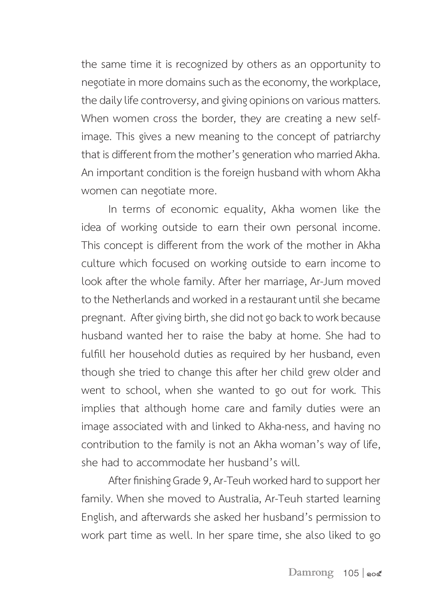the same time it is recognized by others as an opportunity to negotiate in more domains such as the economy, the workplace, the daily life controversy, and giving opinions on various matters. When women cross the border, they are creating a new selfimage. This gives a new meaning to the concept of patriarchy that is different from the mother's generation who married Akha. An important condition is the foreign husband with whom Akha women can negotiate more.

In terms of economic equality, Akha women like the idea of working outside to earn their own personal income. This concept is different from the work of the mother in Akha culture which focused on working outside to earn income to look after the whole family. After her marriage, Ar-Jum moved to the Netherlands and worked in a restaurant until she became pregnant. After giving birth, she did not go back to work because husband wanted her to raise the baby at home. She had to fulfill her household duties as required by her husband, even though she tried to change this after her child grew older and went to school, when she wanted to go out for work. This implies that although home care and family duties were an image associated with and linked to Akha-ness, and having no contribution to the family is not an Akha woman's way of life, she had to accommodate her husband's will.

After finishing Grade 9, Ar-Teuh worked hard to support her family. When she moved to Australia, Ar-Teuh started learning English, and afterwards she asked her husband's permission to work part time as well. In her spare time, she also liked to go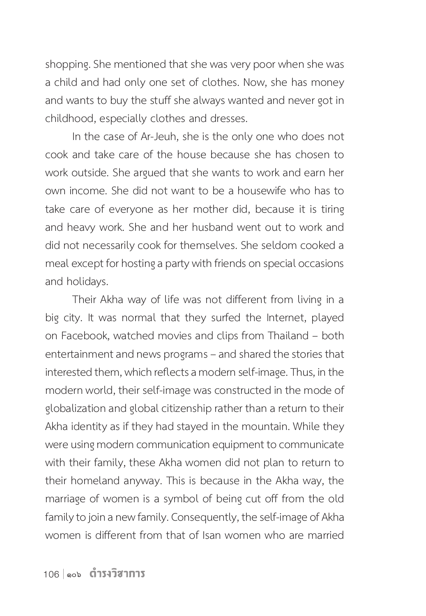shopping. She mentioned that she was very poor when she was a child and had only one set of clothes. Now, she has money and wants to buy the stuff she always wanted and never got in childhood, especially clothes and dresses.

In the case of Ar-Jeuh, she is the only one who does not cook and take care of the house because she has chosen to work outside. She argued that she wants to work and earn her own income. She did not want to be a housewife who has to take care of everyone as her mother did, because it is tiring and heavy work. She and her husband went out to work and did not necessarily cook for themselves. She seldom cooked a meal except for hosting a party with friends on special occasions and holidays.

Their Akha way of life was not different from living in a big city. It was normal that they surfed the Internet, played on Facebook, watched movies and clips from Thailand – both entertainment and news programs – and shared the stories that interested them, which reflects a modern self-image. Thus, in the modern world, their self-image was constructed in the mode of globalization and global citizenship rather than a return to their Akha identity as if they had stayed in the mountain. While they were using modern communication equipment to communicate with their family, these Akha women did not plan to return to their homeland anyway. This is because in the Akha way, the marriage of women is a symbol of being cut off from the old family to join a new family. Consequently, the self-image of Akha women is different from that of Isan women who are married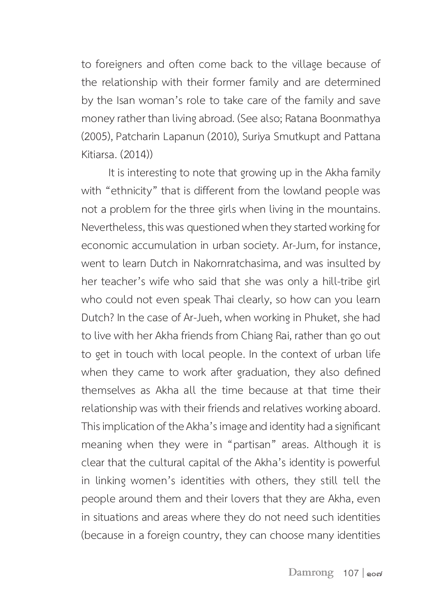to foreigners and often come back to the village because of the relationship with their former family and are determined by the Isan woman's role to take care of the family and save money rather than living abroad. (See also; Ratana Boonmathya (2005), Patcharin Lapanun (2010), Suriya Smutkupt and Pattana Kitiarsa. (2014))

It is interesting to note that growing up in the Akha family with "ethnicity" that is different from the lowland people was not a problem for the three girls when living in the mountains. Nevertheless, this was questioned when they started working for economic accumulation in urban society. Ar-Jum, for instance, went to learn Dutch in Nakornratchasima, and was insulted by her teacher's wife who said that she was only a hill-tribe girl who could not even speak Thai clearly, so how can you learn Dutch? In the case of Ar-Jueh, when working in Phuket, she had to live with her Akha friends from Chiang Rai, rather than go out to get in touch with local people. In the context of urban life when they came to work after graduation, they also defined themselves as Akha all the time because at that time their relationship was with their friends and relatives working aboard. This implication of the Akha's image and identity had a significant meaning when they were in "partisan" areas. Although it is clear that the cultural capital of the Akha's identity is powerful in linking women's identities with others, they still tell the people around them and their lovers that they are Akha, even in situations and areas where they do not need such identities (because in a foreign country, they can choose many identities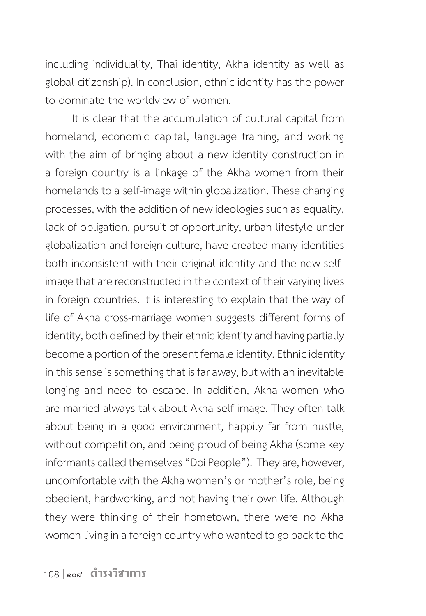including individuality, Thai identity, Akha identity as well as global citizenship). In conclusion, ethnic identity has the power to dominate the worldview of women.

It is clear that the accumulation of cultural capital from homeland, economic capital, language training, and working with the aim of bringing about a new identity construction in a foreign country is a linkage of the Akha women from their homelands to a self-image within globalization. These changing processes, with the addition of new ideologies such as equality, lack of obligation, pursuit of opportunity, urban lifestyle under globalization and foreign culture, have created many identities both inconsistent with their original identity and the new selfimage that are reconstructed in the context of their varying lives in foreign countries. It is interesting to explain that the way of life of Akha cross-marriage women suggests different forms of identity, both defined by their ethnic identity and having partially become a portion of the present female identity. Ethnic identity in this sense is something that is far away, but with an inevitable longing and need to escape. In addition, Akha women who are married always talk about Akha self-image. They often talk about being in a good environment, happily far from hustle, without competition, and being proud of being Akha (some key informants called themselves "Doi People"). They are, however, uncomfortable with the Akha women's or mother's role, being obedient, hardworking, and not having their own life. Although they were thinking of their hometown, there were no Akha women living in a foreign country who wanted to go back to the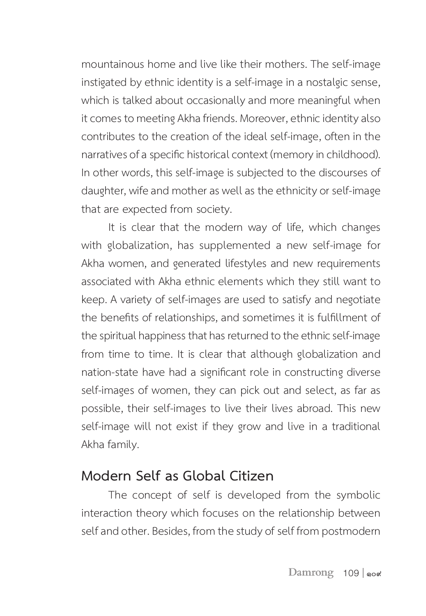mountainous home and live like their mothers. The self-image instigated by ethnic identity is a self-image in a nostalgic sense, which is talked about occasionally and more meaningful when it comes to meeting Akha friends. Moreover, ethnic identity also contributes to the creation of the ideal self-image, often in the narratives of a specific historical context (memory in childhood). In other words, this self-image is subjected to the discourses of daughter, wife and mother as well as the ethnicity or self-image that are expected from society.

It is clear that the modern way of life, which changes with globalization, has supplemented a new self-image for Akha women, and generated lifestyles and new requirements associated with Akha ethnic elements which they still want to keep. A variety of self-images are used to satisfy and negotiate the benefits of relationships, and sometimes it is fulfillment of the spiritual happiness that has returned to the ethnic self-image from time to time. It is clear that although globalization and nation-state have had a significant role in constructing diverse self-images of women, they can pick out and select, as far as possible, their self-images to live their lives abroad. This new self-image will not exist if they grow and live in a traditional Akha family.

## **Modern Self as Global Citizen**

The concept of self is developed from the symbolic interaction theory which focuses on the relationship between self and other. Besides, from the study of self from postmodern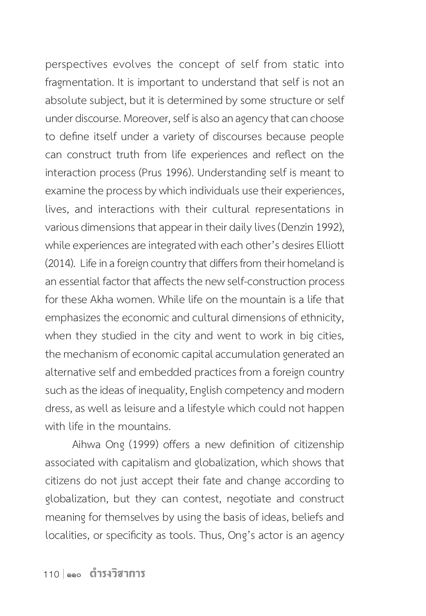perspectives evolves the concept of self from static into fragmentation. It is important to understand that self is not an absolute subject, but it is determined by some structure or self under discourse. Moreover, self is also an agency that can choose to define itself under a variety of discourses because people can construct truth from life experiences and reflect on the interaction process (Prus 1996). Understanding self is meant to examine the process by which individuals use their experiences, lives, and interactions with their cultural representations in various dimensions that appear in their daily lives (Denzin 1992), while experiences are integrated with each other's desires Elliott (2014). Life in a foreign country that differs from their homeland is an essential factor that affects the new self-construction process for these Akha women. While life on the mountain is a life that emphasizes the economic and cultural dimensions of ethnicity, when they studied in the city and went to work in big cities, the mechanism of economic capital accumulation generated an alternative self and embedded practices from a foreign country such as the ideas of inequality, English competency and modern dress, as well as leisure and a lifestyle which could not happen with life in the mountains.

Aihwa Ong (1999) offers a new definition of citizenship associated with capitalism and globalization, which shows that citizens do not just accept their fate and change according to globalization, but they can contest, negotiate and construct meaning for themselves by using the basis of ideas, beliefs and localities, or specificity as tools. Thus, Ong's actor is an agency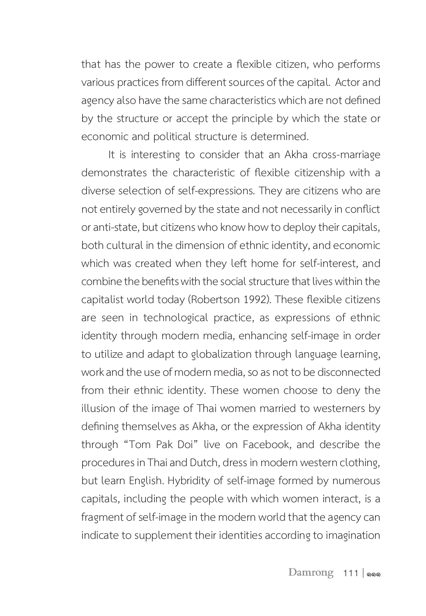that has the power to create a flexible citizen, who performs various practices from different sources of the capital. Actor and agency also have the same characteristics which are not defined by the structure or accept the principle by which the state or economic and political structure is determined.

It is interesting to consider that an Akha cross-marriage demonstrates the characteristic of flexible citizenship with a diverse selection of self-expressions. They are citizens who are not entirely governed by the state and not necessarily in conflict or anti-state, but citizens who know how to deploy their capitals, both cultural in the dimension of ethnic identity, and economic which was created when they left home for self-interest, and combine the benefits with the social structure that lives within the capitalist world today (Robertson 1992). These flexible citizens are seen in technological practice, as expressions of ethnic identity through modern media, enhancing self-image in order to utilize and adapt to globalization through language learning, work and the use of modern media, so as not to be disconnected from their ethnic identity. These women choose to deny the illusion of the image of Thai women married to westerners by defining themselves as Akha, or the expression of Akha identity through "Tom Pak Doi" live on Facebook, and describe the procedures in Thai and Dutch, dress in modern western clothing, but learn English. Hybridity of self-image formed by numerous capitals, including the people with which women interact, is a fragment of self-image in the modern world that the agency can indicate to supplement their identities according to imagination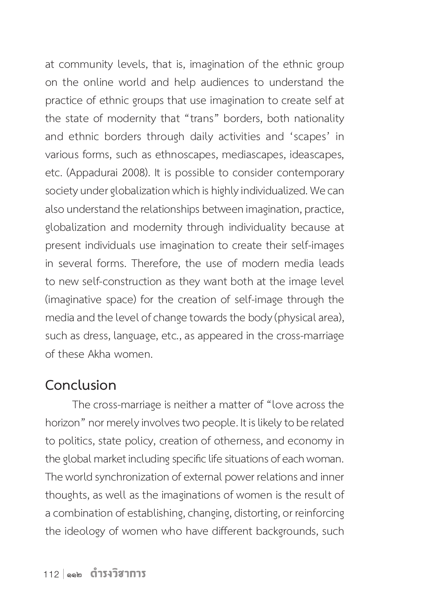at community levels, that is, imagination of the ethnic group on the online world and help audiences to understand the practice of ethnic groups that use imagination to create self at the state of modernity that "trans" borders, both nationality and ethnic borders through daily activities and 'scapes' in various forms, such as ethnoscapes, mediascapes, ideascapes, etc. (Appadurai 2008). It is possible to consider contemporary society under globalization which is highly individualized. We can also understand the relationships between imagination, practice, globalization and modernity through individuality because at present individuals use imagination to create their self-images in several forms. Therefore, the use of modern media leads to new self-construction as they want both at the image level (imaginative space) for the creation of self-image through the media and the level of change towards the body (physical area), such as dress, language, etc., as appeared in the cross-marriage of these Akha women.

#### **Conclusion**

The cross-marriage is neither a matter of "love across the horizon" nor merely involves two people. It is likely to be related to politics, state policy, creation of otherness, and economy in the global market including specific life situations of each woman. The world synchronization of external power relations and inner thoughts, as well as the imaginations of women is the result of a combination of establishing, changing, distorting, or reinforcing the ideology of women who have different backgrounds, such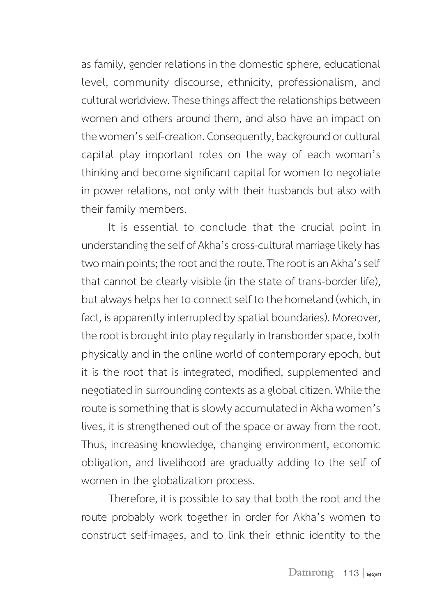as family, gender relations in the domestic sphere, educational level, community discourse, ethnicity, professionalism, and cultural worldview. These things affect the relationships between women and others around them, and also have an impact on the women's self-creation. Consequently, background or cultural capital play important roles on the way of each woman's thinking and become significant capital for women to negotiate in power relations, not only with their husbands but also with their family members.

It is essential to conclude that the crucial point in understanding the self of Akha's cross-cultural marriage likely has two main points; the root and the route. The root is an Akha's self that cannot be clearly visible (in the state of trans-border life), but always helps her to connect self to the homeland (which, in fact, is apparently interrupted by spatial boundaries). Moreover, the root is brought into play regularly in transborder space, both physically and in the online world of contemporary epoch, but it is the root that is integrated, modified, supplemented and negotiated in surrounding contexts as a global citizen. While the route is something that is slowly accumulated in Akha women's lives, it is strengthened out of the space or away from the root. Thus, increasing knowledge, changing environment, economic obligation, and livelihood are gradually adding to the self of women in the globalization process.

Therefore, it is possible to say that both the root and the route probably work together in order for Akha's women to construct self-images, and to link their ethnic identity to the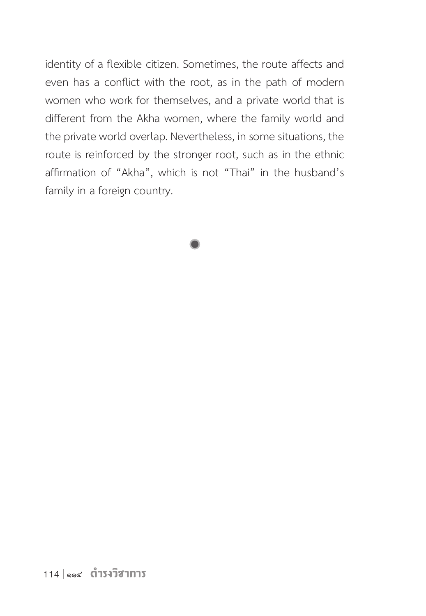identity of a flexible citizen. Sometimes, the route affects and even has a conflict with the root, as in the path of modern women who work for themselves, and a private world that is different from the Akha women, where the family world and the private world overlap. Nevertheless, in some situations, the route is reinforced by the stronger root, such as in the ethnic affirmation of "Akha", which is not "Thai" in the husband's family in a foreign country.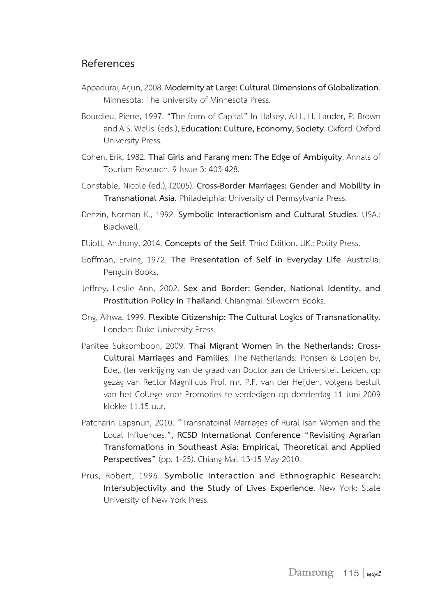#### **References**

- Appadurai, Arjun, 2008. **Modernity at Large: Cultural Dimensions of Globalization**. Minnesota: The University of Minnesota Press.
- Bourdieu, Pierre, 1997. "The form of Capital" In Halsey, A.H., H. Lauder, P. Brown and A.S. Wells. (eds.), **Education: Culture, Economy, Society**. Oxford: Oxford University Press.
- Cohen, Erik, 1982. **Thai Girls and Farang men: The Edge of Ambiguity**. Annals of Tourism Research. 9 Issue 3: 403-428.
- Constable, Nicole (ed.), (2005). **Cross-Border Marriages: Gender and Mobility in Transnational Asia**. Philadelphia: University of Pennsylvania Press.
- Denzin, Norman K., 1992. **Symbolic Interactionism and Cultural Studies**. USA.: Blackwell.
- Elliott, Anthony, 2014. **Concepts of the Self**. Third Edition. UK.: Polity Press.
- Goffman, Erving, 1972. **The Presentation of Self in Everyday Life**. Australia: Penguin Books.
- Jeffrey, Leslie Ann, 2002. **Sex and Border: Gender, National Identity, and Prostitution Policy in Thailand**. Chiangmai: Silkworm Books.
- Ong, Aihwa, 1999. **Flexible Citizenship: The Cultural Logics of Transnationality**. London: Duke University Press.
- Panitee Suksomboon, 2009. **Thai Migrant Women in the Netherlands: Cross-Cultural Marriages and Families**. The Netherlands: Ponsen & Looijen bv, Ede,. (ter verkrijging van de graad van Doctor aan de Universiteit Leiden, op gezag van Rector Magnificus Prof. mr. P.F. van der Heijden, volgens besluit van het College voor Promoties te verdedigen op donderdag 11 Juni 2009 klokke 11.15 uur.
- Patcharin Lapanun, 2010. "Transnatoinal Marriages of Rural Isan Women and the Local Influences.", **RCSD International Conference "Revisiting Agrarian Transfomations in Southeast Asia: Empirical, Theoretical and Applied Perspectives"** (pp. 1-25). Chiang Mai, 13-15 May 2010.
- Prus, Robert, 1996. **Symbolic Interaction and Ethnographic Research: Intersubjectivity and the Study of Lives Experience**. New York: State University of New York Press.